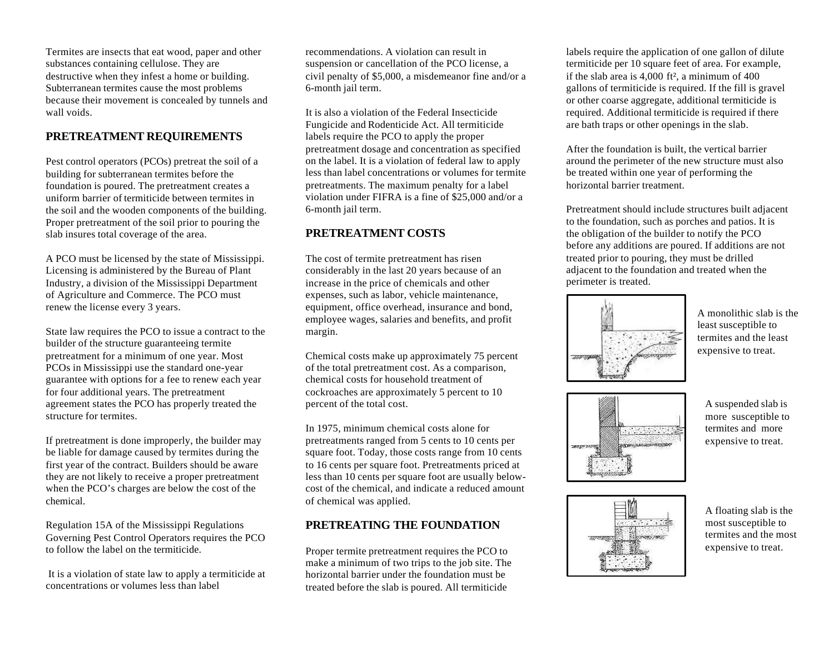Termites are insects that eat wood, paper and other substances containing cellulose. They are destructive when they infest a home or building. Subterranean termites cause the most problems because their movement is concealed by tunnels and wall voids.

### **PRETREATMENT REQUIREMENTS**

Pest control operators (PCOs) pretreat the soil of a building for subterranean termites before the foundation is poured. The pretreatment creates a uniform barrier of termiticide between termites in the soil and the wooden components of the building. Proper pretreatment of the soil prior to pouring the slab insures total coverage of the area.

A PCO must be licensed by the state of Mississippi. Licensing is administered by the Bureau of Plant Industry, a division of the Mississippi Department of Agriculture and Commerce. The PCO must renew the license every 3 years.

State law requires the PCO to issue a contract to the builder of the structure guaranteeing termite pretreatment for a minimum of one year. Most PCOs in Mississippi use the standard one-year guarantee with options for a fee to renew each year for four additional years. The pretreatment agreement states the PCO has properly treated the structure for termites.

If pretreatment is done improperly, the builder may be liable for damage caused by termites during the first year of the contract. Builders should be aware they are not likely to receive a proper pretreatment when the PCO's charges are below the cost of the chemical.

Regulation 15A of the Mississippi Regulations Governing Pest Control Operators requires the PCO to follow the label on the termiticide.

 It is a violation of state law to apply a termiticide at concentrations or volumes less than label

recommendations. A violation can result in suspension or cancellation of the PCO license, a civil penalty of \$5,000, a misdemeanor fine and/or a 6-month jail term.

It is also a violation of the Federal Insecticide Fungicide and Rodenticide Act. All termiticide labels require the PCO to apply the proper pretreatment dosage and concentration as specified on the label. It is a violation of federal law to apply less than label concentrations or volumes for termite pretreatments. The maximum penalty for a label violation under FIFRA is a fine of \$25,000 and/or a 6-month jail term.

### **PRETREATMENT COSTS**

The cost of termite pretreatment has risen considerably in the last 20 years because of an increase in the price of chemicals and other expenses, such as labor, vehicle maintenance, equipment, office overhead, insurance and bond. employee wages, salaries and benefits, and profit margin.

Chemical costs make up approximately 75 percent of the total pretreatment cost. As a comparison, chemical costs for household treatment of cockroaches are approximately 5 percent to 10 percent of the total cost.

In 1975, minimum chemical costs alone for pretreatments ranged from 5 cents to 10 cents per square foot. Today, those costs range from 10 cents to 16 cents per square foot. Pretreatments priced at less than 10 cents per square foot are usually belowcost of the chemical, and indicate a reduced amount of chemical was applied.

### **PRETREATING THE FOUNDATION**

Proper termite pretreatment requires the PCO to make a minimum of two trips to the job site. The horizontal barrier under the foundation must be treated before the slab is poured. All termiticide

labels require the application of one gallon of dilute termiticide per 10 square feet of area. For example, if the slab area is 4,000 ft², a minimum of 400 gallons of termiticide is required. If the fill is gravel or other coarse aggregate, additional termiticide is required. Additional termiticide is required if there are bath traps or other openings in the slab.

After the foundation is built, the vertical barrier around the perimeter of the new structure must also be treated within one year of performing the horizontal barrier treatment.

Pretreatment should include structures built adjacent to the foundation, such as porches and patios. It is the obligation of the builder to notify the PCO before any additions are poured. If additions are not treated prior to pouring, they must be drilled adjacent to the foundation and treated when the perimeter is treated.



A monolithic slab is the least susceptible to termites and the least expensive to treat.



A suspended slab is more susceptible to termites and more expensive to treat.



A floating slab is the most susceptible to termites and the most expensive to treat.